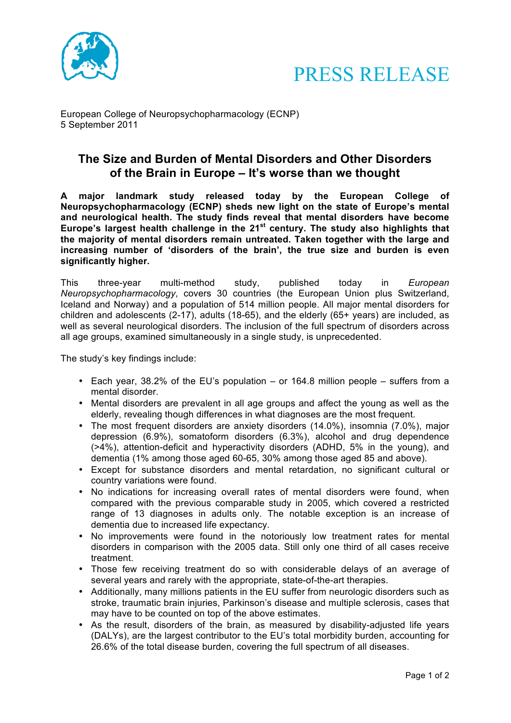



European College of Neuropsychopharmacology (ECNP) 5 September 2011

## **The Size and Burden of Mental Disorders and Other Disorders of the Brain in Europe – It's worse than we thought**

**A major landmark study released today by the European College of Neuropsychopharmacology (ECNP) sheds new light on the state of Europe's mental and neurological health. The study finds reveal that mental disorders have become Europe's largest health challenge in the 21st century. The study also highlights that the majority of mental disorders remain untreated. Taken together with the large and increasing number of 'disorders of the brain', the true size and burden is even significantly higher.**

This three-year multi-method study, published today in *European Neuropsychopharmacology*, covers 30 countries (the European Union plus Switzerland, Iceland and Norway) and a population of 514 million people. All major mental disorders for children and adolescents (2-17), adults (18-65), and the elderly (65+ years) are included, as well as several neurological disorders. The inclusion of the full spectrum of disorders across all age groups, examined simultaneously in a single study, is unprecedented.

The study's key findings include:

- Each year, 38.2% of the EU's population or 164.8 million people suffers from a mental disorder.
- Mental disorders are prevalent in all age groups and affect the young as well as the elderly, revealing though differences in what diagnoses are the most frequent.
- The most frequent disorders are anxiety disorders (14.0%), insomnia (7.0%), major depression (6.9%), somatoform disorders (6.3%), alcohol and drug dependence (>4%), attention-deficit and hyperactivity disorders (ADHD, 5% in the young), and dementia (1% among those aged 60-65, 30% among those aged 85 and above).
- Except for substance disorders and mental retardation, no significant cultural or country variations were found.
- No indications for increasing overall rates of mental disorders were found, when compared with the previous comparable study in 2005, which covered a restricted range of 13 diagnoses in adults only. The notable exception is an increase of dementia due to increased life expectancy.
- No improvements were found in the notoriously low treatment rates for mental disorders in comparison with the 2005 data. Still only one third of all cases receive treatment.
- Those few receiving treatment do so with considerable delays of an average of several years and rarely with the appropriate, state-of-the-art therapies.
- Additionally, many millions patients in the EU suffer from neurologic disorders such as stroke, traumatic brain injuries, Parkinson's disease and multiple sclerosis, cases that may have to be counted on top of the above estimates.
- As the result, disorders of the brain, as measured by disability-adjusted life years (DALYs), are the largest contributor to the EU's total morbidity burden, accounting for 26.6% of the total disease burden, covering the full spectrum of all diseases.